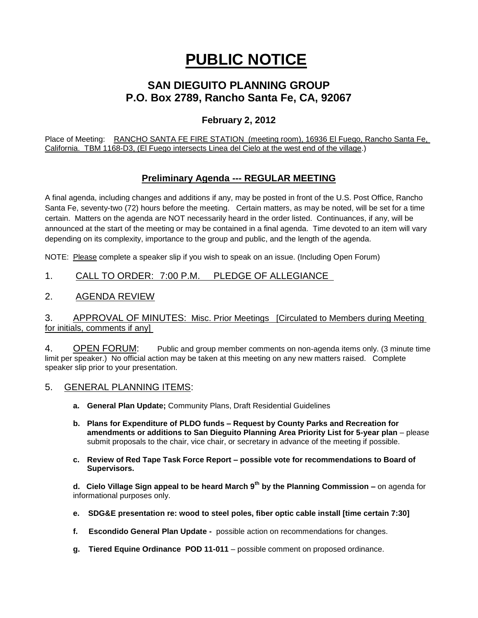# **PUBLIC NOTICE**

## **SAN DIEGUITO PLANNING GROUP P.O. Box 2789, Rancho Santa Fe, CA, 92067**

### **February 2, 2012**

Place of Meeting: RANCHO SANTA FE FIRE STATION (meeting room), 16936 El Fuego, Rancho Santa Fe, California. TBM 1168-D3, (El Fuego intersects Linea del Cielo at the west end of the village.)

### **Preliminary Agenda --- REGULAR MEETING**

A final agenda, including changes and additions if any, may be posted in front of the U.S. Post Office, Rancho Santa Fe, seventy-two (72) hours before the meeting. Certain matters, as may be noted, will be set for a time certain. Matters on the agenda are NOT necessarily heard in the order listed. Continuances, if any, will be announced at the start of the meeting or may be contained in a final agenda. Time devoted to an item will vary depending on its complexity, importance to the group and public, and the length of the agenda.

NOTE: Please complete a speaker slip if you wish to speak on an issue. (Including Open Forum)

#### 1. CALL TO ORDER: 7:00 P.M. PLEDGE OF ALLEGIANCE

#### 2. AGENDA REVIEW

#### 3. APPROVAL OF MINUTES: Misc. Prior Meetings [Circulated to Members during Meeting for initials, comments if any]

4. OPEN FORUM: Public and group member comments on non-agenda items only. (3 minute time limit per speaker.) No official action may be taken at this meeting on any new matters raised. Complete speaker slip prior to your presentation.

- 5. GENERAL PLANNING ITEMS:
	- **a. General Plan Update;** Community Plans, Draft Residential Guidelines
	- **b. Plans for Expenditure of PLDO funds – Request by County Parks and Recreation for amendments or additions to San Dieguito Planning Area Priority List for 5-year plan** – please submit proposals to the chair, vice chair, or secretary in advance of the meeting if possible.
	- **c. Review of Red Tape Task Force Report – possible vote for recommendations to Board of Supervisors.**

**d. Cielo Village Sign appeal to be heard March 9th by the Planning Commission –** on agenda for informational purposes only.

- **e. SDG&E presentation re: wood to steel poles, fiber optic cable install [time certain 7:30]**
- **f. Escondido General Plan Update -** possible action on recommendations for changes.
- **g. Tiered Equine Ordinance POD 11-011** possible comment on proposed ordinance.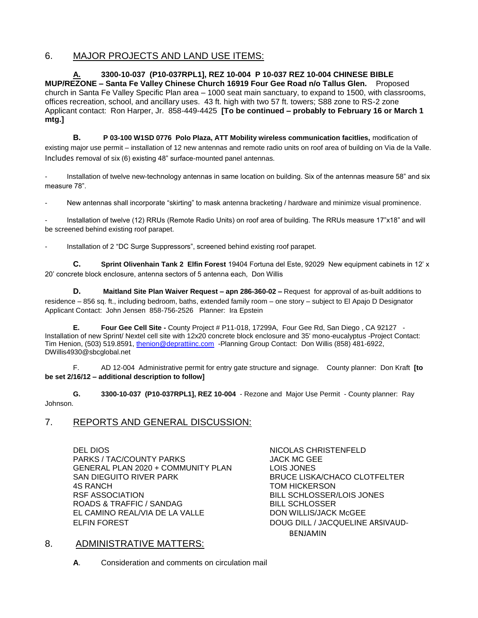#### 6. MAJOR PROJECTS AND LAND USE ITEMS:

**A. 3300-10-037 (P10-037RPL1], REZ 10-004 P 10-037 REZ 10-004 CHINESE BIBLE MUP/REZONE – Santa Fe Valley Chinese Church 16919 Four Gee Road n/o Tallus Glen.** Proposed church in Santa Fe Valley Specific Plan area – 1000 seat main sanctuary, to expand to 1500, with classrooms, offices recreation, school, and ancillary uses. 43 ft. high with two 57 ft. towers; S88 zone to RS-2 zone Applicant contact: Ron Harper, Jr. 858-449-4425 **[To be continued – probably to February 16 or March 1 mtg.]**

**B. P 03-100 W1SD 0776 Polo Plaza, ATT Mobility wireless communication facitlies,** modification of existing major use permit – installation of 12 new antennas and remote radio units on roof area of building on Via de la Valle. Includes removal of six (6) existing 48" surface-mounted panel antennas.

Installation of twelve new-technology antennas in same location on building. Six of the antennas measure 58" and six measure 78".

New antennas shall incorporate "skirting" to mask antenna bracketing / hardware and minimize visual prominence.

- Installation of twelve (12) RRUs (Remote Radio Units) on roof area of building. The RRUs measure 17"x18" and will be screened behind existing roof parapet.

Installation of 2 "DC Surge Suppressors", screened behind existing roof parapet.

**C. Sprint Olivenhain Tank 2 Elfin Forest** 19404 Fortuna del Este, 92029 New equipment cabinets in 12' x 20' concrete block enclosure, antenna sectors of 5 antenna each, Don Willis

**D. Maitland Site Plan Waiver Request – apn 286-360-02 –** Request for approval of as-built additions to residence – 856 sq. ft., including bedroom, baths, extended family room – one story – subject to El Apajo D Designator Applicant Contact: John Jensen 858-756-2526 Planner: Ira Epstein

**E. Four Gee Cell Site -** County Project # P11-018, 17299A, Four Gee Rd, San Diego , CA 92127 - Installation of new Sprint/ Nextel cell site with 12x20 concrete block enclosure and 35' mono-eucalyptus -Project Contact: Tim Henion, (503) 519.8591[, thenion@deprattiinc.com](mailto:thenion@deprattiinc.com) -Planning Group Contact: Don Willis (858) 481-6922, DWillis4930@sbcglobal.net

F. AD 12-004 Administrative permit for entry gate structure and signage. County planner: Don Kraft **[to be set 2/16/12 – additional description to follow]**

**G. 3300-10-037 (P10-037RPL1], REZ 10-004** - Rezone and Major Use Permit - County planner: Ray Johnson.

#### 7. REPORTS AND GENERAL DISCUSSION:

DEL DIOS NICOLAS CHRISTENFELD PARKS / TAC/COUNTY PARKS JACK MC GEE GENERAL PLAN 2020 + COMMUNITY PLAN LOIS JONES<br>SAN DIEGUITO RIVER PARK BRUCE LISK 4S RANCH **TOM HICKERSON** RSF ASSOCIATION BILL SCHLOSSER/LOIS JONES ROADS & TRAFFIC / SANDAG EL CAMINO REAL/VIA DE LA VALLE DON WILLIS/JACK McGEE ELFIN FOREST DOUG DILL / JACQUELINE ARSIVAUD-

BRUCE LISKA/CHACO CLOTFELTER BENJAMIN

#### 8. ADMINISTRATIVE MATTERS:

**A**. Consideration and comments on circulation mail